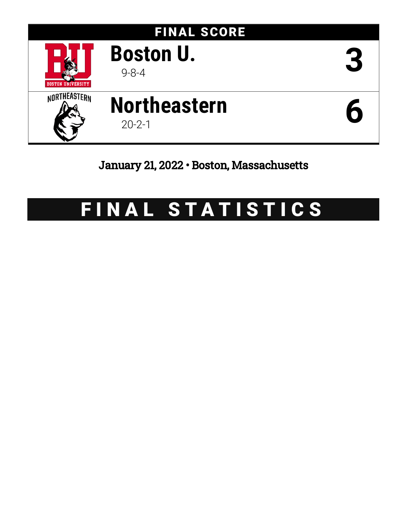

# January 21, 2022 • Boston, Massachusetts

# FINAL STATISTICS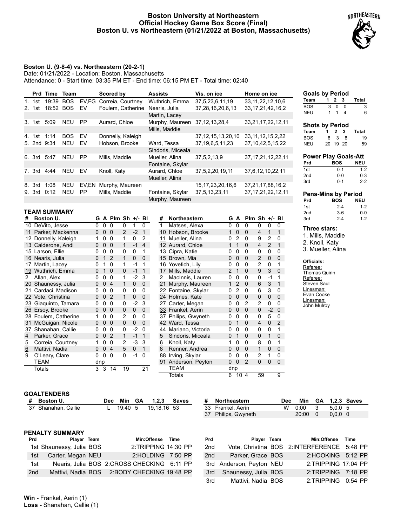# **Boston University at Northeastern Official Hockey Game Box Score (Final) Boston U. vs Northeastern (01/21/2022 at Boston, Massachusetts)**



# **Boston U. (9-8-4) vs. Northeastern (20-2-1)**

Date: 01/21/2022 - Location: Boston, Massachusetts Attendance: 0 - Start time: 03:35 PM ET - End time: 06:15 PM ET - Total time: 02:40

|    |        | Prd Time    | Team       |           | Scored by         | <b>Assists</b>    | Vis. on ice            | Home on ice            |
|----|--------|-------------|------------|-----------|-------------------|-------------------|------------------------|------------------------|
|    | 1. 1st | 19:39       | <b>BOS</b> | EV.FG     | Correia, Courtney | Wuthrich, Emma    | 37,5,23,6,11,19        | 33, 11, 22, 12, 10, 6  |
| 2. | 1st    | 18:52 BOS   |            | EV        | Foulem, Catherine | Nearis, Julia     | 37,28,16,20,6,13       | 33, 17, 21, 42, 16, 2  |
|    |        |             |            |           |                   | Martin, Lacey     |                        |                        |
| 3. | 1st    | 5:09        | <b>NEU</b> | <b>PP</b> | Aurard, Chloe     | Murphy, Maureen   | 37, 12, 13, 28, 4      | 33, 21, 17, 22, 12, 11 |
|    |        |             |            |           |                   | Mills. Maddie     |                        |                        |
| 4. | 1st    | 1:14        | <b>BOS</b> | EV        | Donnelly, Kaleigh |                   | 37, 12, 15, 13, 20, 10 | 33, 11, 12, 15, 2, 22  |
|    |        | 5. 2nd 9:34 | <b>NEU</b> | EV        | Hobson, Brooke    | Ward, Tessa       | 37, 19, 6, 5, 11, 23   | 37, 10, 42, 5, 15, 22  |
|    |        |             |            |           |                   | Sindoris, Miceala |                        |                        |
| 6. | 3rd    | 5:47        | <b>NEU</b> | PP        | Mills, Maddie     | Mueller, Alina    | 37, 5, 2, 13, 9        | 37, 17, 21, 12, 22, 11 |
|    |        |             |            |           |                   | Fontaine, Skylar  |                        |                        |
| 7. | 3rd    | 4:44        | <b>NEU</b> | EV        | Knoll, Katy       | Aurard, Chloe     | 37,5,2,20,19,11        | 37.6.12.10.22.11       |
|    |        |             |            |           |                   | Mueller, Alina    |                        |                        |
|    | 8. 3rd | 1:08        | <b>NEU</b> | EV.EN     | Murphy, Maureen   |                   | 15, 17, 23, 20, 16, 6  | 37, 21, 17, 88, 16, 2  |
| 9. | 3rd    | 0:12        | <b>NEU</b> | PP        | Mills, Maddie     | Fontaine, Skylar  | 37,5,13,23,11          | 37, 17, 21, 22, 12, 11 |
|    |        |             |            |           |                   | Murphy, Maureen   |                        |                        |

# **TEAM SUMMARY**

| #              | Boston U.         | G.  |              | A Plm Sh +/- Bl |                |      |                |
|----------------|-------------------|-----|--------------|-----------------|----------------|------|----------------|
| 10             | DeVito, Jesse     | 0   | 0            | 0               | 0              | 1    | 0              |
| 11             | Parker, Mackenna  | 0   | 0            | 0               | $\overline{2}$ | $-2$ | 1              |
| 12             | Donnelly, Kaleigh | 1   | 0            | 0               | 1              | 0    | 2              |
| 13             | Calderone, Andi   | 0   | 0            | 0               | 1              | $-1$ | $\overline{4}$ |
| 15             | Larson, Ellie     | 0   | 0            | 0               | 0              | 0    | 1              |
| 16             | Nearis, Julia     | 0   | $\mathbf{1}$ | $\overline{2}$  | 1              | 0    | 0              |
| 17             | Martin, Lacey     | 0   | 1            | 0               | 1              | -1   | 1              |
|                | 19 Wuthrich, Emma | 0   | $\mathbf{1}$ | 0               | 0              | -1   | 1              |
| $\mathbf{2}$   | Allan, Alex       | 0   | 0            | 0               | 1              | -2   | 3              |
| 20             | Shaunessy, Julia  | 0   | 0            | $\overline{4}$  | 1              | 0    | 0              |
| 21             | Cardaci, Madison  | 0   | 0            | 0               | 0              | 0    | 0              |
| 22             | Vote, Christina   | 0   | 0            | $\overline{2}$  | 1              | 0    | 0              |
| 23             | Giaguinto, Tamara | 0   | 0            | 0               | 0              | $-2$ | 3              |
| 26             | Ersoy, Brooke     | 0   | 0            | 0               | 0              | 0    | 0              |
| 28             | Foulem, Catherine | 1   | 0            | 0               | 2              | 0    | 0              |
| 31             | McGuigan, Nicole  | 0   | 0            | 0               | 0              | 0    | 0              |
| <u>37</u>      | Shanahan, Callie  | 0   | 0            | 0               | 0              | $-2$ | 0              |
| 4              | Parker, Grace     | 0   | 0            | $\overline{2}$  | 1              | $-1$ | 1              |
|                | Correia, Courtney | 1   | 0            | 0               | 2              | -3   | 3              |
| $\frac{5}{6}$  | Mattivi, Nadia    | 0   | 0            | 4               | 5              | 0    | 1              |
| $\overline{9}$ | O'Leary, Clare    | 0   | 0            | 0               | 0              | $-1$ | 0              |
|                | <b>TEAM</b>       | dnp |              |                 |                |      |                |
|                | Totals            | 3   | 3            | 14              | 19             |      | 21             |

| #              | Northeastern      | G              | A              | Plm Sh |                | +/- BI         |   |
|----------------|-------------------|----------------|----------------|--------|----------------|----------------|---|
| 1              | Matses, Alexa     | 0              | 0              | 0      | 0              | 0              | 0 |
| 10             | Hobson, Brooke    | 1              | 0              | 0      | 4              | 1              | 1 |
| 11             | Mueller, Alina    | 0              | 2              | 0      | 9              | $\overline{c}$ | 0 |
|                | 12 Aurard, Chloe  | 1              | 1              | 0      | 4              | $\overline{2}$ | 1 |
| 13             | Cipra, Katie      | 0              | 0              | 0      | 0              | 0              | 0 |
| 15             | Brown, Mia        | 0              | 0              | 0      | $\overline{2}$ | 0              | 0 |
| 16             | Yovetich, Lily    | 0              | 0              | 0      | 2              | 0              | 1 |
| 17             | Mills, Maddie     | $\overline{2}$ | 1              | 0      | 9              | 3              | 0 |
| $\overline{2}$ | MacInnis, Lauren  | 0              | 0              | 0      | 0              | $-1$           | 1 |
| 21             | Murphy, Maureen   | 1              | $\overline{2}$ | 0      | 6              | 3              | 1 |
| 22             | Fontaine, Skylar  | 0              | 2              | 0      | 6              | 3              | 0 |
|                | 24 Holmes, Kate   | 0              | 0              | 0      | 0              | 0              | 0 |
| 27             | Carter, Megan     | 0              | 0              | 2      | 2              | 0              | 0 |
|                | 33 Frankel, Aerin | 0              | 0              | 0      | 0              | $-2$           | 0 |
| 37             | Philips, Gwyneth  | 0              | 0              | 0      | 0              | 5              | 0 |
|                | 42 Ward, Tessa    | 0              | 1              | 0      | 4              | 0              | 2 |
| 44             | Mariano, Victoria | 0              | 0              | 0      | 0              | 0              | 1 |
| 5              | Sindoris, Miceala | 0              | 1              | 0      | 0              | 1              | 0 |
| <u>6</u>       | Knoll, Katy       | 1              | 0              | 0      | 8              | 0              | 1 |
| 8              | Renner, Andrea    | 0              | 0              | 0      | 1              | 0              | 0 |
| 88             | Irving, Skylar    | 0              | 0              | 0      | 2              | 1              | 0 |
| 91             | Anderson, Peyton  | 0              | 0              | 2      | 0              | 0              | 0 |
|                | TEAM              | dnp            |                |        |                |                |   |
|                | Totals            | 6              | 10             | 4      | 59             |                | 9 |

| <b>Goals by Period</b> |   |          |   |       |  |  |  |  |  |
|------------------------|---|----------|---|-------|--|--|--|--|--|
| Team                   | 1 | 2 3      |   | Total |  |  |  |  |  |
| <b>BOS</b>             | 3 | $\Omega$ | ŋ | 3     |  |  |  |  |  |
| <b>NEU</b>             |   |          | 4 | 6     |  |  |  |  |  |

# **Shots by Period**

| Team | 1. | 2 3      |     | Total |
|------|----|----------|-----|-------|
| BOS  |    | 8 3      | - 8 | 19    |
| NEU  |    | 20 19 20 |     | 59    |

#### **Power Play Goals-Att**<br>**Prd** BOS NEU **Prd BOS** 1st 0-1 1-2 2nd 0-0 0-3 3rd 0-1 2-2

# **Pens-Mins by Period**

| Prd             | BOS     | NEU     |
|-----------------|---------|---------|
| 1st             | $2 - 4$ | $1 - 2$ |
| 2 <sub>nd</sub> | $3-6$   | $0 - 0$ |
| 3rd             | $2 - 4$ | 1-2     |

# **Three stars:**

1. Mills, Maddie

2. Knoll, Katy 3. Mueller, Alina

#### **Officials:**

Referee: Thomas Quinn Referee: Steven Saul Linesman: Evan Cooke Linesman: John Mulroy

# **GOALTENDERS**

| # Boston U.         |  | Dec Min GA 1,2,3 Saves |  |
|---------------------|--|------------------------|--|
| 37 Shanahan, Callie |  | L 19:40 5 19.18.16 53  |  |

| # Northeastern      | Dec Min GA 1,2,3 Saves |                 |  |
|---------------------|------------------------|-----------------|--|
| 33 Frankel, Aerin   | W 0:00 3 5.0.0 5       |                 |  |
| 37 Philips, Gwyneth | $20:00 \quad 0$        | $0.0.0 \quad 0$ |  |

#### **PENALTY SUMMARY**

| Prd  | Player Team                                 |  | Min:Offense Time    |  |
|------|---------------------------------------------|--|---------------------|--|
|      | 1st Shaunessy, Julia BOS                    |  | 2:TRIPPING 14:30 PP |  |
|      | 1st Carter, Megan NEU                       |  | 2:HOLDING 7:50 PP   |  |
| 1st. | Nearis, Julia BOS 2:CROSS CHECKING 6:11 PP  |  |                     |  |
| 2nd  | Mattivi. Nadia BOS 2:BODY CHECKING 19:48 PP |  |                     |  |

| Prd             | Player Team              | Min:Offense                                | <b>Time</b> |  |
|-----------------|--------------------------|--------------------------------------------|-------------|--|
| 2 <sub>nd</sub> |                          | Vote, Christina BOS 2:INTERFERENCE 5:48 PP |             |  |
| 2 <sub>nd</sub> | Parker, Grace BOS        | 2:HOOKING 5:12 PP                          |             |  |
|                 | 3rd Anderson, Peyton NEU | 2:TRIPPING 17:04 PP                        |             |  |
| 3rd             | Shaunessy, Julia BOS     | 2:TRIPPING 7:18 PP                         |             |  |
| 3rd             | Mattivi, Nadia BOS       | 2:TRIPPING 0:54 PP                         |             |  |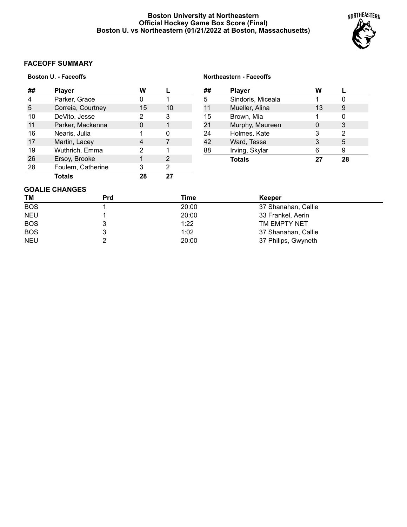# **Boston University at Northeastern Official Hockey Game Box Score (Final) Boston U. vs Northeastern (01/21/2022 at Boston, Massachusetts)**



# **FACEOFF SUMMARY**

# **Boston U. - Faceoffs**

|    | <b>Player</b>     | w  |    |
|----|-------------------|----|----|
| 4  | Parker, Grace     |    | 1  |
| 5  | Correia, Courtney | 15 | 10 |
| 10 | DeVito, Jesse     | 2  | 3  |
| 11 | Parker, Mackenna  |    | 1  |
| 16 | Nearis, Julia     |    |    |
| 17 | Martin, Lacey     |    |    |
| 19 | Wuthrich, Emma    | 2  | 1  |
| 26 | Ersoy, Brooke     |    | 2  |
| 28 | Foulem, Catherine | 3  | 2  |
|    | Totals            | 28 |    |

## **Northeastern - Faceoffs**

| ## | <b>Player</b>     | w  |    |
|----|-------------------|----|----|
| 5  | Sindoris, Miceala |    |    |
| 11 | Mueller, Alina    | 13 | 9  |
| 15 | Brown, Mia        | 1  |    |
| 21 | Murphy, Maureen   |    | 3  |
| 24 | Holmes, Kate      | 3  | 2  |
| 42 | Ward, Tessa       | 3  | 5  |
| 88 | Irving, Skylar    | 6  | 9  |
|    | <b>Totals</b>     | 27 | 28 |

## **GOALIE CHANGES**

| <b>TM</b>  | Prd | Time  | Keeper              |  |
|------------|-----|-------|---------------------|--|
| <b>BOS</b> |     | 20:00 | 37 Shanahan, Callie |  |
| <b>NEU</b> |     | 20:00 | 33 Frankel, Aerin   |  |
| <b>BOS</b> |     | 1:22  | TM EMPTY NET        |  |
| <b>BOS</b> |     | 1:02  | 37 Shanahan, Callie |  |
| <b>NEU</b> |     | 20:00 | 37 Philips, Gwyneth |  |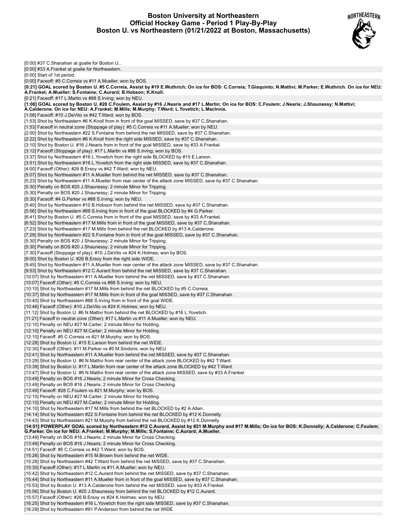## **Boston University at Northeastern Official Hockey Game - Period 1 Play-By-Play Boston U. vs Northeastern (01/21/2022 at Boston, Massachusetts)**



| [0:00] #37 C.Shanahan at goalie for Boston U                                                                                                                                                                                                       |
|----------------------------------------------------------------------------------------------------------------------------------------------------------------------------------------------------------------------------------------------------|
| [0:00] #33 A.Frankel at goalie for Northeastern.                                                                                                                                                                                                   |
| [0:00] Start of 1st period.                                                                                                                                                                                                                        |
| [0:00] Faceoff: #5 C.Correia vs #11 A.Mueller; won by BOS.                                                                                                                                                                                         |
| [0:21] GOAL scored by Boston U. #5 C.Correia, Assist by #19 E.Wuthrich; On ice for BOS: C.Correia; T.Giaquinto; N.Mattivi; M.Parker; E.Wuthrich. On ice for NEU:                                                                                   |
| A.Frankel; A.Mueller; S.Fontaine; C.Aurard; B.Hobson; K.Knoll.                                                                                                                                                                                     |
| [0:21] Faceoff: #17 L.Martin vs #88 S.Irving; won by NEU.                                                                                                                                                                                          |
| [1:08] GOAL scored by Boston U. #28 C.Foulem, Assist by #16 J.Nearis and #17 L.Martin; On ice for BOS: C.Foulem; J.Nearis; J.Shaunessy; N.Mattivi;                                                                                                 |
| A.Calderone. On ice for NEU: A.Frankel; M.Mills; M.Murphy; T.Ward; L.Yovetich; L.MacInnis.                                                                                                                                                         |
| [1:08] Faceoff: #10 J.DeVito vs #42 T.Ward; won by BOS.                                                                                                                                                                                            |
| [1:53] Shot by Northeastern #6 K.Knoll from in front of the goal MISSED, save by #37 C.Shanahan.                                                                                                                                                   |
| [1:53] Faceoff in neutral zone (Stoppage of play): #5 C.Correia vs #11 A.Mueller; won by NEU.                                                                                                                                                      |
| [2:00] Shot by Northeastern #22 S.Fontaine from behind the net MISSED, save by #37 C.Shanahan.                                                                                                                                                     |
| [2:22] Shot by Northeastern #6 K.Knoll from the right side MISSED, save by #37 C.Shanahan.                                                                                                                                                         |
| [3:10] Shot by Boston U. #16 J.Nearis from in front of the goal MISSED, save by #33 A.Frankel.                                                                                                                                                     |
| [3:12] Faceoff (Stoppage of play): #17 L.Martin vs #88 S.Irving; won by BOS.                                                                                                                                                                       |
| [3:37] Shot by Northeastern #16 L. Yovetich from the right side BLOCKED by #15 E. Larson.                                                                                                                                                          |
| [3:51] Shot by Northeastern #16 L. Yovetich from the right side MISSED, save by #37 C. Shanahan.                                                                                                                                                   |
| [4:00] Faceoff (Other): #26 B.Ersoy vs #42 T.Ward; won by NEU.                                                                                                                                                                                     |
| [5:07] Shot by Northeastern #11 A.Mueller from behind the net MISSED, save by #37 C.Shanahan.                                                                                                                                                      |
| [5:23] Shot by Northeastern #11 A.Mueller from rear center of the attack zone MISSED, save by #37 C.Shanahan.                                                                                                                                      |
| [5:30] Penalty on BOS #20 J.Shaunessy; 2 minute Minor for Tripping.                                                                                                                                                                                |
| [5:30] Penalty on BOS #20 J.Shaunessy; 2 minute Minor for Tripping.                                                                                                                                                                                |
| [5:30] Faceoff: #4 G. Parker vs #88 S. Irving; won by NEU.                                                                                                                                                                                         |
|                                                                                                                                                                                                                                                    |
| [5:40] Shot by Northeastern #10 B.Hobson from behind the net MISSED, save by #37 C.Shanahan.                                                                                                                                                       |
| [5:56] Shot by Northeastern #88 S. Irving from in front of the goal BLOCKED by #4 G. Parker.                                                                                                                                                       |
| [6:41] Shot by Boston U. #5 C.Correia from in front of the goal MISSED, save by #33 A.Frankel.                                                                                                                                                     |
| [6:52] Shot by Northeastern #17 M.Mills from in front of the goal MISSED, save by #37 C.Shanahan.                                                                                                                                                  |
| [7:23] Shot by Northeastern #17 M.Mills from behind the net BLOCKED by #13 A.Calderone.                                                                                                                                                            |
| [7:29] Shot by Northeastern #22 S.Fontaine from in front of the goal MISSED, save by #37 C.Shanahan.                                                                                                                                               |
| [5:30] Penalty on BOS #20 J.Shaunessy; 2 minute Minor for Tripping.                                                                                                                                                                                |
| [5:30] Penalty on BOS #20 J.Shaunessy; 2 minute Minor for Tripping.                                                                                                                                                                                |
| [7:30] Faceoff (Stoppage of play): #10 J.DeVito vs #24 K.Holmes; won by BOS.                                                                                                                                                                       |
| [9:00] Shot by Boston U. #26 B.Ersoy from the right side WIDE.                                                                                                                                                                                     |
| [9:45] Shot by Northeastern #11 A.Mueller from rear center of the attack zone MISSED, save by #37 C.Shanahan.                                                                                                                                      |
| [9:53] Shot by Northeastern #12 C.Aurard from behind the net MISSED, save by #37 C.Shanahan.                                                                                                                                                       |
| [10:07] Shot by Northeastern #11 A.Mueller from behind the net MISSED, save by #37 C.Shanahan.                                                                                                                                                     |
| [10:07] Faceoff (Other): #5 C.Correia vs #88 S.Irving; won by NEU.                                                                                                                                                                                 |
| [10:10] Shot by Northeastern #17 M.Mills from behind the net BLOCKED by #5 C.Correia.                                                                                                                                                              |
| [10:37] Shot by Northeastern #17 M.Mills from in front of the goal MISSED, save by #37 C.Shanahan.                                                                                                                                                 |
| [10:40] Shot by Northeastern #88 S.Irving from in front of the goal WIDE.                                                                                                                                                                          |
| [10:46] Faceoff (Other): #10 J.DeVito vs #24 K.Holmes; won by NEU.                                                                                                                                                                                 |
| [11:12] Shot by Boston U. #6 N. Mattivi from behind the net BLOCKED by #16 L. Yovetich.                                                                                                                                                            |
| [11:21] Faceoff in neutral zone (Other): #17 L.Martin vs #11 A.Mueller; won by NEU.                                                                                                                                                                |
| [12:10] Penalty on NEU #27 M.Carter; 2 minute Minor for Holding.                                                                                                                                                                                   |
| [12:10] Penalty on NEU #27 M.Carter; 2 minute Minor for Holding.                                                                                                                                                                                   |
|                                                                                                                                                                                                                                                    |
| [12:10] Faceoff: #5 C.Correia vs #21 M.Murphy; won by BOS.                                                                                                                                                                                         |
| [12:28] Shot by Boston U. #15 E. Larson from behind the net WIDE.                                                                                                                                                                                  |
| [12:30] Faceoff (Other): #11 M. Parker vs #5 M. Sindoris; won by NEU.                                                                                                                                                                              |
| [12:41] Shot by Northeastern #11 A.Mueller from behind the net MISSED, save by #37 C.Shanahan.                                                                                                                                                     |
| [13:29] Shot by Boston U. #6 N.Mattivi from rear center of the attack zone BLOCKED by #42 T.Ward.                                                                                                                                                  |
| [13:39] Shot by Boston U. #17 L.Martin from rear center of the attack zone BLOCKED by #42 T.Ward.                                                                                                                                                  |
| [13:47] Shot by Boston U. #6 N.Mattivi from rear center of the attack zone MISSED, save by #33 A.Frankel.                                                                                                                                          |
| [13:49] Penalty on BOS #16 J. Nearis; 2 minute Minor for Cross Checking.                                                                                                                                                                           |
| [13:49] Penalty on BOS #16 J. Nearis; 2 minute Minor for Cross Checking.                                                                                                                                                                           |
|                                                                                                                                                                                                                                                    |
| [13:49] Faceoff: #28 C.Foulem vs #21 M.Murphy; won by BOS.                                                                                                                                                                                         |
| [12:10] Penalty on NEU #27 M.Carter; 2 minute Minor for Holding.                                                                                                                                                                                   |
| [12:10] Penalty on NEU #27 M.Carter; 2 minute Minor for Holding.                                                                                                                                                                                   |
| [14:10] Shot by Northeastern #17 M.Mills from behind the net BLOCKED by #2 A.Allan.                                                                                                                                                                |
| [14:14] Shot by Northeastern #22 S.Fontaine from behind the net BLOCKED by #12 K.Donnelly.                                                                                                                                                         |
| [14:43] Shot by Northeastern #21 M.Murphy from behind the net BLOCKED by #12 K.Donnelly.                                                                                                                                                           |
| [14:51] POWERPLAY GOAL scored by Northeastern #12 C.Aurard, Assist by #21 M.Murphy and #17 M.Mills; On ice for BOS: K.Donnelly; A.Calderone; C.Foulem;<br>G.Parker. On ice for NEU: A.Frankel; M.Murphy; M.Mills; S.Fontaine; C.Aurard; A.Mueller. |
| [13:49] Penalty on BOS #16 J. Nearis; 2 minute Minor for Cross Checking.                                                                                                                                                                           |
| [13:49] Penalty on BOS #16 J.Nearis; 2 minute Minor for Cross Checking.                                                                                                                                                                            |
| [14:51] Faceoff: #5 C.Correia vs #42 T.Ward; won by BOS.                                                                                                                                                                                           |
|                                                                                                                                                                                                                                                    |
| [15:26] Shot by Northeastern #15 M.Brown from behind the net WIDE.<br>[15:28] Shot by Northeastern #42 T.Ward from behind the net MISSED, save by #37 C.Shanahan.                                                                                  |
|                                                                                                                                                                                                                                                    |
| [15:30] Faceoff (Other): #17 L.Martin vs #11 A.Mueller; won by NEU.                                                                                                                                                                                |
| [15:42] Shot by Northeastern #12 C.Aurard from behind the net MISSED, save by #37 C.Shanahan.                                                                                                                                                      |
| [15:44] Shot by Northeastern #11 A.Mueller from in front of the goal MISSED, save by #37 C.Shanahan.                                                                                                                                               |
| [15:53] Shot by Boston U. #13 A.Calderone from behind the net MISSED, save by #33 A.Frankel.                                                                                                                                                       |
| [15:56] Shot by Boston U. #20 J.Shaunessy from behind the net BLOCKED by #12 C.Aurard.                                                                                                                                                             |
| [15:57] Faceoff (Other): #26 B. Ersoy vs #24 K. Holmes; won by NEU.<br>[16:25] Shot by Northeastern #16 L. Yovetich from the right side MISSED, save by #37 C. Shanahan.                                                                           |

[16:29] Shot by Northeastern #91 P.Anderson from behind the net WIDE.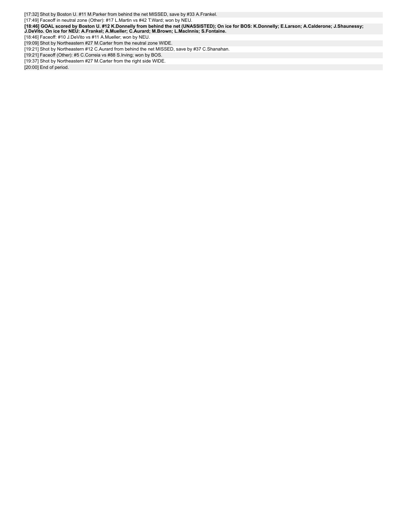[17:32] Shot by Boston U. #11 M.Parker from behind the net MISSED, save by #33 A.Frankel.

[17:49] Faceoff in neutral zone (Other): #17 L.Martin vs #42 T.Ward; won by NEU.

[18:46] GOAL scored by Boston U. #12 K.Donnelly from behind the net (UNASSISTED); On ice for BOS: K.Donnelly; E.Larson; A.Calderone; J.Shaunessy;<br>J.DeVito. On ice for NEU: A.Frankel; A.Mueller; C.Aurard; M.Brown; L.MacInni

[18:46] Faceoff: #10 J.DeVito vs #11 A.Mueller; won by NEU.

[19:09] Shot by Northeastern #27 M.Carter from the neutral zone WIDE.

[19:21] Shot by Northeastern #12 C.Aurard from behind the net MISSED, save by #37 C.Shanahan.

[19:21] Faceoff (Other): #5 C.Correia vs #88 S.Irving; won by BOS.

[19:37] Shot by Northeastern #27 M.Carter from the right side WIDE.

[20:00] End of period.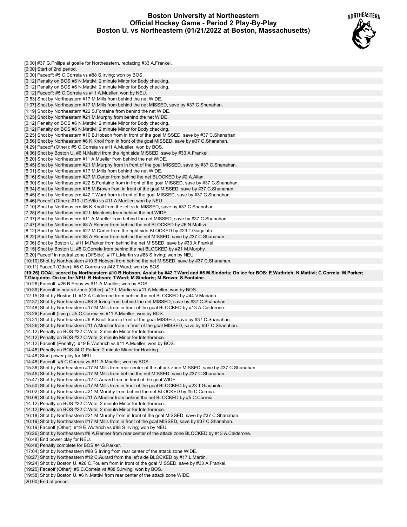# **Boston University at Northeastern Official Hockey Game - Period 2 Play-By-Play Boston U. vs Northeastern (01/21/2022 at Boston, Massachusetts)**



| [0:00] #37 G.Philips at goalie for Northeastern, replacing #33 A.Frankel.                                                                             |
|-------------------------------------------------------------------------------------------------------------------------------------------------------|
| [0:00] Start of 2nd period.                                                                                                                           |
| [0:00] Faceoff: #5 C.Correia vs #88 S.Irving; won by BOS.                                                                                             |
| [0:12] Penalty on BOS #6 N.Mattivi; 2 minute Minor for Body checking.                                                                                 |
| [0:12] Penalty on BOS #6 N.Mattivi; 2 minute Minor for Body checking.                                                                                 |
| [0:12] Faceoff: #5 C.Correia vs #11 A.Mueller; won by NEU.                                                                                            |
| [0:53] Shot by Northeastern #17 M.Mills from behind the net WIDE.                                                                                     |
| [1:07] Shot by Northeastern #17 M.Mills from behind the net MISSED, save by #37 C.Shanahan.                                                           |
| [1:19] Shot by Northeastern #22 S. Fontaine from behind the net WIDE.                                                                                 |
| [1:25] Shot by Northeastern #21 M.Murphy from behind the net WIDE.                                                                                    |
| [0:12] Penalty on BOS #6 N.Mattivi; 2 minute Minor for Body checking.                                                                                 |
| [0:12] Penalty on BOS #6 N.Mattivi; 2 minute Minor for Body checking.                                                                                 |
| [2:25] Shot by Northeastern #10 B.Hobson from in front of the goal MISSED, save by #37 C.Shanahan.                                                    |
| [3:56] Shot by Northeastern #6 K.Knoll from in front of the goal MISSED, save by #37 C.Shanahan.                                                      |
| [4:29] Faceoff (Other): #5 C.Correia vs #11 A.Mueller; won by BOS.                                                                                    |
| [4:36] Shot by Boston U. #6 N.Mattivi from the right side MISSED, save by #33 A.Frankel.                                                              |
| [5:20] Shot by Northeastern #11 A.Mueller from behind the net WIDE.                                                                                   |
| [5:45] Shot by Northeastern #21 M.Murphy from in front of the goal MISSED, save by #37 C.Shanahan.                                                    |
| [6:01] Shot by Northeastern #17 M.Mills from behind the net WIDE.                                                                                     |
| [6:16] Shot by Northeastern #27 M.Carter from behind the net BLOCKED by #2 A.Allan.                                                                   |
| [6:30] Shot by Northeastern #22 S.Fontaine from in front of the goal MISSED, save by #37 C.Shanahan.                                                  |
| [6:34] Shot by Northeastern #15 M.Brown from in front of the goal MISSED, save by #37 C.Shanahan.                                                     |
| [6:45] Shot by Northeastern #42 T.Ward from in front of the goal MISSED, save by #37 C.Shanahan.                                                      |
| [6:46] Faceoff (Other): #10 J.DeVito vs #11 A.Mueller; won by NEU.                                                                                    |
| [7:10] Shot by Northeastern #6 K.Knoll from the left side MISSED, save by #37 C.Shanahan.                                                             |
| [7:28] Shot by Northeastern #2 L.MacInnis from behind the net WIDE.                                                                                   |
| [7:37] Shot by Northeastern #11 A.Mueller from behind the net MISSED, save by #37 C.Shanahan.                                                         |
| [7:47] Shot by Northeastern #8 A.Renner from behind the net BLOCKED by #6 N.Mattivi.                                                                  |
| [8:12] Shot by Northeastern #27 M.Carter from the right side BLOCKED by #23 T.Giaquinto.                                                              |
| [8:22] Shot by Northeastern #8 A.Renner from behind the net MISSED, save by #37 C.Shanahan.                                                           |
| [9:06] Shot by Boston U. #11 M.Parker from behind the net MISSED, save by #33 A.Frankel.                                                              |
| [9:15] Shot by Boston U. #5 C.Correia from behind the net BLOCKED by #21 M.Murphy.                                                                    |
| [9:20] Faceoff in neutral zone (OffSide): #17 L.Martin vs #88 S.Irving; won by NEU.                                                                   |
| [10:10] Shot by Northeastern #10 B.Hobson from behind the net MISSED, save by #37 C.Shanahan.                                                         |
| [10:11] Faceoff (Other): #5 C.Correia vs #42 T.Ward; won by BOS.                                                                                      |
|                                                                                                                                                       |
|                                                                                                                                                       |
| [10:26] GOAL scored by Northeastern #10 B.Hobson, Assist by #42 T.Ward and #5 M.Sindoris; On ice for BOS: E.Wuthrich; N.Mattivi; C.Correia; M.Parker; |
| T.Giaquinto. On ice for NEU: B.Hobson; T.Ward; M.Sindoris; M.Brown; S.Fontaine.                                                                       |
| [10:26] Faceoff: #26 B.Ersoy vs #11 A.Mueller; won by BOS.                                                                                            |
| [10:39] Faceoff in neutral zone (Other): #17 L.Martin vs #11 A.Mueller; won by BOS.                                                                   |
| [12:15] Shot by Boston U. #13 A.Calderone from behind the net BLOCKED by #44 V.Mariano.                                                               |
| [12:37] Shot by Northeastern #88 S. Irving from behind the net MISSED, save by #37 C. Shanahan.                                                       |
| [12:48] Shot by Northeastern #17 M.Mills from in front of the goal BLOCKED by #13 A.Calderone.                                                        |
| [13:26] Faceoff (Icing): #5 C.Correia vs #11 A.Mueller; won by BOS.                                                                                   |
| [13:31] Shot by Northeastern #6 K.Knoll from in front of the goal MISSED, save by #37 C.Shanahan.                                                     |
| [13:36] Shot by Northeastern #11 A.Mueller from in front of the goal MISSED, save by #37 C.Shanahan.                                                  |
| [14:12] Penalty on BOS #22 C.Vote; 2 minute Minor for Interference.                                                                                   |
| [14:12] Penalty on BOS #22 C.Vote; 2 minute Minor for Interference.                                                                                   |
| [14:12] Faceoff (Penalty): #19 E. Wuthrich vs #11 A. Mueller; won by BOS.                                                                             |
| [14:48] Penalty on BOS #4 G.Parker; 2 minute Minor for Hooking.                                                                                       |
| [14:48] Start power play for NEU.                                                                                                                     |
| [14:48] Faceoff: #5 C.Correia vs #11 A.Mueller; won by BOS.                                                                                           |
| [15:36] Shot by Northeastern #17 M.Mills from rear center of the attack zone MISSED, save by #37 C.Shanahan.                                          |
| [15:45] Shot by Northeastern #17 M.Mills from behind the net MISSED, save by #37 C.Shanahan.                                                          |
| [15:47] Shot by Northeastern #12 C. Aurard from in front of the goal WIDE.                                                                            |
| [15:50] Shot by Northeastern #17 M. Mills from in front of the goal BLOCKED by #23 T. Giaguinto.                                                      |
| [16:02] Shot by Northeastern #21 M.Murphy from behind the net BLOCKED by #5 C.Correia.                                                                |
| [16:08] Shot by Northeastern #11 A.Mueller from behind the net BLOCKED by #5 C.Correia.                                                               |
| [14:12] Penalty on BOS #22 C.Vote; 2 minute Minor for Interference.                                                                                   |
| [14:12] Penalty on BOS #22 C.Vote; 2 minute Minor for Interference.                                                                                   |
| [16:18] Shot by Northeastern #21 M.Murphy from in front of the goal MISSED, save by #37 C.Shanahan.                                                   |
| [16:19] Shot by Northeastern #17 M.Mills from in front of the goal MISSED, save by #37 C.Shanahan.                                                    |
| [16:19] Faceoff (Other): #19 E. Wuthrich vs #88 S. Irving; won by NEU.                                                                                |
| [16:26] Shot by Northeastern #8 A.Renner from rear center of the attack zone BLOCKED by #13 A.Calderone.                                              |
| [16:48] End power play for NEU.                                                                                                                       |
| [16:48] Penalty complete for BOS #4 G.Parker.                                                                                                         |
| [17:04] Shot by Northeastern #88 S. Irving from rear center of the attack zone WIDE.                                                                  |
| [18:27] Shot by Northeastern #12 C.Aurard from the left side BLOCKED by #17 L.Martin.                                                                 |
| [19:24] Shot by Boston U. #28 C. Foulem from in front of the goal MISSED, save by #33 A. Frankel.                                                     |
| [19:25] Faceoff (Other): #5 C.Correia vs #88 S.Irving; won by BOS.                                                                                    |
| [19:58] Shot by Boston U. #6 N. Mattivi from rear center of the attack zone WIDE.<br>[20:00] End of period.                                           |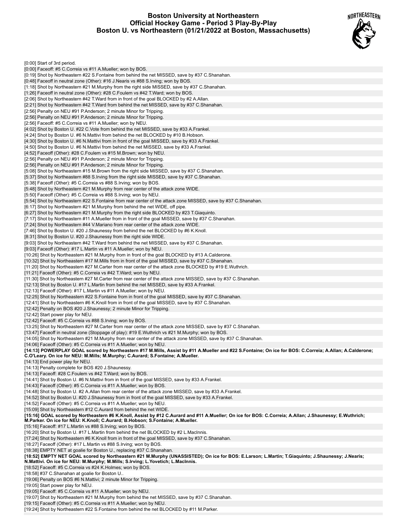# **Boston University at Northeastern Official Hockey Game - Period 3 Play-By-Play Boston U. vs Northeastern (01/21/2022 at Boston, Massachusetts)**



| [0:00] Start of 3rd period.                                                                                                                                                                                |
|------------------------------------------------------------------------------------------------------------------------------------------------------------------------------------------------------------|
| [0:00] Faceoff: #5 C.Correia vs #11 A.Mueller; won by BOS.                                                                                                                                                 |
| [0:19] Shot by Northeastern #22 S. Fontaine from behind the net MISSED, save by #37 C. Shanahan.                                                                                                           |
| [0:48] Faceoff in neutral zone (Other): #16 J.Nearis vs #88 S.Irving; won by BOS.                                                                                                                          |
| [1:18] Shot by Northeastern #21 M.Murphy from the right side MISSED, save by #37 C.Shanahan.                                                                                                               |
| [1:26] Faceoff in neutral zone (Other): #28 C.Foulem vs #42 T.Ward; won by BOS.                                                                                                                            |
| [2:06] Shot by Northeastern #42 T.Ward from in front of the goal BLOCKED by #2 A.Allan.                                                                                                                    |
| [2:21] Shot by Northeastern #42 T.Ward from behind the net MISSED, save by #37 C.Shanahan.<br>[2:56] Penalty on NEU #91 P.Anderson; 2 minute Minor for Tripping.                                           |
| [2:56] Penalty on NEU #91 P.Anderson; 2 minute Minor for Tripping.                                                                                                                                         |
| [2:56] Faceoff: #5 C.Correia vs #11 A.Mueller; won by NEU.                                                                                                                                                 |
| [4:02] Shot by Boston U. #22 C.Vote from behind the net MISSED, save by #33 A.Frankel.                                                                                                                     |
| [4:24] Shot by Boston U. #6 N.Mattivi from behind the net BLOCKED by #10 B.Hobson.                                                                                                                         |
| [4:30] Shot by Boston U. #6 N.Mattivi from in front of the goal MISSED, save by #33 A.Frankel.                                                                                                             |
| [4:50] Shot by Boston U. #6 N.Mattivi from behind the net MISSED, save by #33 A.Frankel.                                                                                                                   |
| [4:52] Faceoff (Other): #28 C.Foulem vs #15 M.Brown; won by NEU.                                                                                                                                           |
| [2:56] Penalty on NEU #91 P.Anderson; 2 minute Minor for Tripping.                                                                                                                                         |
| [2:56] Penalty on NEU #91 P.Anderson; 2 minute Minor for Tripping.                                                                                                                                         |
| [5:08] Shot by Northeastern #15 M.Brown from the right side MISSED, save by #37 C.Shanahan.                                                                                                                |
| [5:37] Shot by Northeastern #88 S.Irving from the right side MISSED, save by #37 C.Shanahan.                                                                                                               |
| [5:38] Faceoff (Other): #5 C.Correia vs #88 S.Irving; won by BOS.                                                                                                                                          |
| [5:48] Shot by Northeastern #21 M.Murphy from rear center of the attack zone WIDE.                                                                                                                         |
| [5:50] Faceoff (Other): #5 C.Correia vs #88 S.Irving; won by NEU.                                                                                                                                          |
| [5:54] Shot by Northeastern #22 S.Fontaine from rear center of the attack zone MISSED, save by #37 C.Shanahan.<br>[6:17] Shot by Northeastern #21 M.Murphy from behind the net WIDE, off pipe.             |
| [6:27] Shot by Northeastern #21 M.Murphy from the right side BLOCKED by #23 T.Giaguinto.                                                                                                                   |
| [7:17] Shot by Northeastern #11 A.Mueller from in front of the goal MISSED, save by #37 C.Shanahan.                                                                                                        |
| [7:24] Shot by Northeastern #44 V.Mariano from rear center of the attack zone WIDE.                                                                                                                        |
| [7:46] Shot by Boston U. #20 J.Shaunessy from behind the net BLOCKED by #6 K.Knoll.                                                                                                                        |
| [8:31] Shot by Boston U. #20 J. Shaunessy from the right side WIDE.                                                                                                                                        |
| [9:03] Shot by Northeastern #42 T.Ward from behind the net MISSED, save by #37 C.Shanahan.                                                                                                                 |
| [9:03] Faceoff (Other): #17 L.Martin vs #11 A.Mueller; won by NEU.                                                                                                                                         |
| [10:26] Shot by Northeastern #21 M.Murphy from in front of the goal BLOCKED by #13 A.Calderone.                                                                                                            |
| [10:32] Shot by Northeastern #17 M.Mills from in front of the goal MISSED, save by #37 C.Shanahan.                                                                                                         |
| [11:20] Shot by Northeastern #27 M.Carter from rear center of the attack zone BLOCKED by #19 E.Wuthrich.                                                                                                   |
| [11:21] Faceoff (Other): #5 C.Correia vs #42 T.Ward; won by NEU.                                                                                                                                           |
| [11:30] Shot by Northeastern #27 M.Carter from rear center of the attack zone MISSED, save by #37 C.Shanahan.                                                                                              |
| [12:13] Shot by Boston U. #17 L.Martin from behind the net MISSED, save by #33 A.Frankel.                                                                                                                  |
| [12:13] Faceoff (Other): #17 L.Martin vs #11 A.Mueller; won by NEU.                                                                                                                                        |
| [12:25] Shot by Northeastern #22 S.Fontaine from in front of the goal MISSED, save by #37 C.Shanahan.<br>[12:41] Shot by Northeastern #6 K.Knoll from in front of the goal MISSED, save by #37 C.Shanahan. |
| [12:42] Penalty on BOS #20 J. Shaunessy; 2 minute Minor for Tripping.                                                                                                                                      |
| [12:42] Start power play for NEU.                                                                                                                                                                          |
| [12:42] Faceoff: #5 C.Correia vs #88 S.Irving; won by BOS.                                                                                                                                                 |
| [13:25] Shot by Northeastern #27 M.Carter from rear center of the attack zone MISSED, save by #37 C.Shanahan.                                                                                              |
| [13:47] Faceoff in neutral zone (Stoppage of play): #19 E.Wuthrich vs #21 M.Murphy; won by BOS.                                                                                                            |
| [14:05] Shot by Northeastern #21 M.Murphy from rear center of the attack zone MISSED, save by #37 C.Shanahan.                                                                                              |
| [14:06] Faceoff (Other): #5 C.Correia vs #11 A.Mueller; won by NEU.                                                                                                                                        |
| [14:13] POWERPLAY GOAL scored by Northeastern #17 M.Mills, Assist by #11 A.Mueller and #22 S.Fontaine; On ice for BOS: C.Correia; A.Allan; A.Calderone;                                                    |
| C.O'Leary. On ice for NEU: M.Mills; M.Murphy; C.Aurard; S.Fontaine; A.Mueller.                                                                                                                             |
| [14:13] End power play for NEU.                                                                                                                                                                            |
| [14:13] Penalty complete for BOS #20 J. Shaunessy.                                                                                                                                                         |
| [14:13] Faceoff: #28 C.Foulem vs #42 T.Ward; won by BOS.                                                                                                                                                   |
|                                                                                                                                                                                                            |
| [14:41] Shot by Boston U. #6 N. Mattivi from in front of the goal MISSED, save by #33 A. Frankel.                                                                                                          |
| [14:43] Faceoff (Other): #5 C.Correia vs #11 A.Mueller; won by BOS.                                                                                                                                        |
| [14:48] Shot by Boston U. #2 A.Allan from rear center of the attack zone MISSED, save by #33 A.Frankel.                                                                                                    |
| [14:52] Shot by Boston U. #20 J. Shaunessy from in front of the goal MISSED, save by #33 A. Frankel.                                                                                                       |
| [14:52] Faceoff (Other): #5 C.Correia vs #11 A.Mueller; won by NEU.<br>[15:09] Shot by Northeastern #12 C. Aurard from behind the net WIDE.                                                                |
| [15:16] GOAL scored by Northeastern #6 K.Knoll, Assist by #12 C.Aurard and #11 A.Mueller; On ice for BOS: C.Correia; A.Allan; J.Shaunessy; E.Wuthrich;                                                     |
| M.Parker. On ice for NEU: K.Knoll; C.Aurard; B.Hobson; S.Fontaine; A.Mueller.                                                                                                                              |
| [15:16] Faceoff: #17 L.Martin vs #88 S.Irving; won by BOS.                                                                                                                                                 |
| [16:20] Shot by Boston U. #17 L.Martin from behind the net BLOCKED by #2 L.MacInnis.                                                                                                                       |
| [17:24] Shot by Northeastern #6 K.Knoll from in front of the goal MISSED, save by #37 C.Shanahan.                                                                                                          |
| [18:27] Faceoff (Other): #17 L.Martin vs #88 S.Irving; won by BOS.                                                                                                                                         |
| [18:38] EMPTY NET at goalie for Boston U., replacing #37 C.Shanahan.                                                                                                                                       |
| [18:52] EMPTY NET GOAL scored by Northeastern #21 M.Murphy (UNASSISTED); On ice for BOS: E.Larson; L.Martin; T.Giaquinto; J.Shaunessy; J.Nearis;                                                           |
| N.Mattivi. On ice for NEU: M.Murphy; M.Mills; S.Irving; L.Yovetich; L.MacInnis.<br>[18:52] Faceoff: #5 C.Correia vs #24 K.Holmes; won by BOS.                                                              |
| [18:58] #37 C.Shanahan at goalie for Boston U                                                                                                                                                              |
| [19:06] Penalty on BOS #6 N.Mattivi; 2 minute Minor for Tripping.                                                                                                                                          |
| [19:05] Start power play for NEU.                                                                                                                                                                          |
| [19:05] Faceoff: #5 C.Correia vs #11 A.Mueller; won by NEU.                                                                                                                                                |
| [19:07] Shot by Northeastern #21 M.Murphy from behind the net MISSED, save by #37 C.Shanahan.                                                                                                              |
| [19:15] Faceoff (Other): #5 C.Correia vs #11 A.Mueller; won by NEU.<br>[19:24] Shot by Northeastern #22 S.Fontaine from behind the net BLOCKED by #11 M.Parker.                                            |